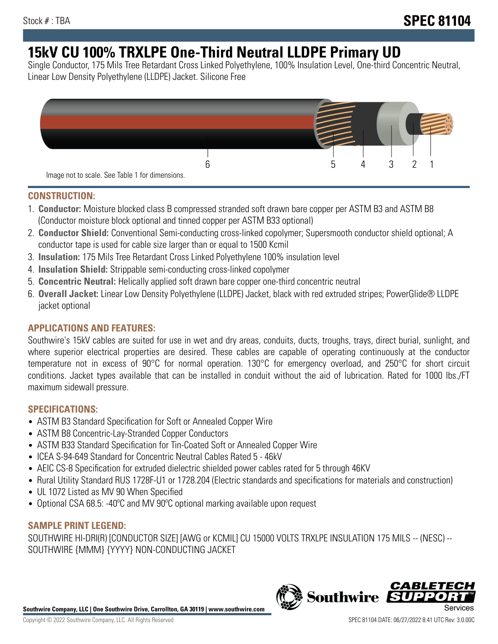# **15kV CU 100% TRXLPE One-Third Neutral LLDPE Primary UD**

Single Conductor, 175 Mils Tree Retardant Cross Linked Polyethylene, 100% Insulation Level, One-third Concentric Neutral, Linear Low Density Polyethylene (LLDPE) Jacket. Silicone Free



### **CONSTRUCTION:**

- 1. **Conductor:** Moisture blocked class B compressed stranded soft drawn bare copper per ASTM B3 and ASTM B8 (Conductor moisture block optional and tinned copper per ASTM B33 optional)
- 2. **Conductor Shield:** Conventional Semi-conducting cross-linked copolymer; Supersmooth conductor shield optional; A conductor tape is used for cable size larger than or equal to 1500 Kcmil
- 3. **Insulation:** 175 Mils Tree Retardant Cross Linked Polyethylene 100% insulation level
- 4. **Insulation Shield:** Strippable semi-conducting cross-linked copolymer
- 5. **Concentric Neutral:** Helically applied soft drawn bare copper one-third concentric neutral
- 6. **Overall Jacket:** Linear Low Density Polyethylene (LLDPE) Jacket, black with red extruded stripes; PowerGlide® LLDPE jacket optional

## **APPLICATIONS AND FEATURES:**

Southwire's 15kV cables are suited for use in wet and dry areas, conduits, ducts, troughs, trays, direct burial, sunlight, and where superior electrical properties are desired. These cables are capable of operating continuously at the conductor temperature not in excess of 90°C for normal operation. 130°C for emergency overload, and 250°C for short circuit conditions. Jacket types available that can be installed in conduit without the aid of lubrication. Rated for 1000 lbs./FT maximum sidewall pressure.

### **SPECIFICATIONS:**

- ASTM B3 Standard Specification for Soft or Annealed Copper Wire
- ASTM B8 Concentric-Lay-Stranded Copper Conductors
- ASTM B33 Standard Specification for Tin-Coated Soft or Annealed Copper Wire
- ICEA S-94-649 Standard for Concentric Neutral Cables Rated 5 46kV
- AEIC CS-8 Specification for extruded dielectric shielded power cables rated for 5 through 46KV
- Rural Utility Standard RUS 1728F-U1 or 1728.204 (Electric standards and specifications for materials and construction)
- UL 1072 Listed as MV 90 When Specified
- Optional CSA 68.5: -40ºC and MV 90ºC optional marking available upon request

# **SAMPLE PRINT LEGEND:**

SOUTHWIRE HI-DRI(R) [CONDUCTOR SIZE] [AWG or KCMIL] CU 15000 VOLTS TRXLPE INSULATION 175 MILS -- (NESC) -- SOUTHWIRE {MMM} {YYYY} NON-CONDUCTING JACKET

**Southwire Company, LLC | One Southwire Drive, Carrollton, GA 30119 | www.southwire.com**

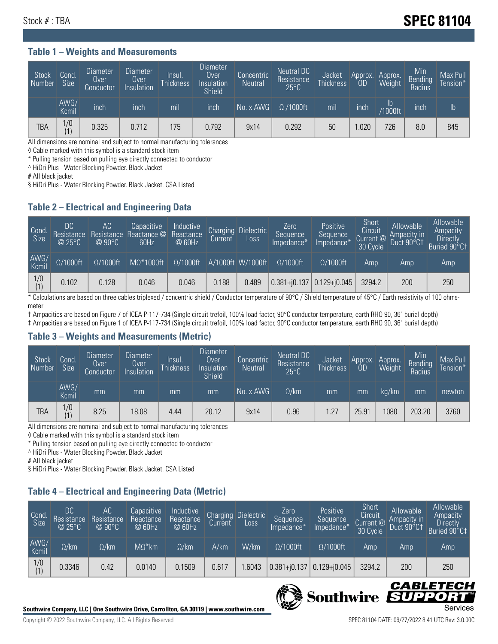# Stock # : TBA **SPEC 81104**

#### **Table 1 – Weights and Measurements**

| Stock<br>Number | Cond<br><b>Size</b> | <b>Diameter</b><br>Over<br>Conductor | Diameter<br>Over<br>Insulation | lnsul.<br><b>Thickness</b> | <b>Diameter</b><br>Over<br>Insulation<br><b>Shield</b> | Concentric<br><b>Neutral</b> | Neutral DC<br>Resistance<br>$25^{\circ}$ C | Jacket<br><b>Thickness</b> | Approx.<br>0D | Approx.<br>Weight | Min<br>Bending<br>Radius | Max Pull<br>Tension* |
|-----------------|---------------------|--------------------------------------|--------------------------------|----------------------------|--------------------------------------------------------|------------------------------|--------------------------------------------|----------------------------|---------------|-------------------|--------------------------|----------------------|
|                 | AWG/<br>Kcmil       | inch                                 | inch                           | mil                        | ınch                                                   | No. x AWG                    | $\Omega$ /1000ft                           | mil                        | inch          | Ib<br>/1000ft     | inch                     | Ib                   |
| TBA             | 1/0<br>(1)          | 0.325                                | 0.712                          | 175                        | 0.792                                                  | 9x14                         | 0.292                                      | 50                         | .020          | 726               | 8.0                      | 845                  |

All dimensions are nominal and subject to normal manufacturing tolerances

◊ Cable marked with this symbol is a standard stock item

\* Pulling tension based on pulling eye directly connected to conductor

^ HiDri Plus - Water Blocking Powder. Black Jacket

# All black jacket

§ HiDri Plus - Water Blocking Powder. Black Jacket. CSA Listed

### **Table 2 – Electrical and Engineering Data**

| Cond.<br>Size | 'DC<br>Resistance<br>@25°C | AC<br>Resistance<br>$@90^{\circ}C$ | Capacitive<br>Reactance @<br>60Hz | Inductive<br>Reactance<br>@ 60Hz | Charging<br>Current | Dielectric<br>Loss | Zero<br>Sequence<br>Impedance* | Positive<br>Sequence<br>Impedance <sup>+</sup> | Short<br>Circuit<br>Current @<br>30 Cycle | Allowable<br>Ampacity in<br>Duct 90°C† | Allowable<br>Ampacity<br><b>Directly</b><br>Buried 90°C‡ |
|---------------|----------------------------|------------------------------------|-----------------------------------|----------------------------------|---------------------|--------------------|--------------------------------|------------------------------------------------|-------------------------------------------|----------------------------------------|----------------------------------------------------------|
| AWG/<br>Kcmil | $\Omega/1000$ ft           | $\Omega/1000$ ft                   | $M\Omega^*1000$ ft                | $\Omega/1000$ ft                 |                     | A/1000ft W/1000ft  | $O/1000$ ft                    | $\Omega$ /1000ft                               | Amp                                       | Amp                                    | Amp                                                      |
| 1/0<br>(1)    | 0.102                      | 0.128                              | 0.046                             | 0.046                            | 0.188               | 0.489              | $0.381 + 0.137$                | $0.129 + 0.045$                                | 3294.2                                    | 200                                    | 250                                                      |

\* Calculations are based on three cables triplexed / concentric shield / Conductor temperature of 90°C / Shield temperature of 45°C / Earth resistivity of 100 ohmsmeter

† Ampacities are based on Figure 7 of ICEA P-117-734 (Single circuit trefoil, 100% load factor, 90°C conductor temperature, earth RHO 90, 36" burial depth) ‡ Ampacities are based on Figure 1 of ICEA P-117-734 (Single circuit trefoil, 100% load factor, 90°C conductor temperature, earth RHO 90, 36" burial depth)

### **Table 3 – Weights and Measurements (Metric)**

| Stock<br>Number | Cond<br>Size <sup>1</sup> | <b>Diameter</b><br>Over<br>Conductor | Diameter<br>Over<br>Insulation | Insul.<br><b>Thickness</b> | <b>Diameter</b><br>Over.<br>Insulation<br>Shield | Concentric<br><b>Neutral</b> | Neutral DC<br>Resistance<br>$25^{\circ}$ C | Jacket<br><b>Thickness</b> | Approx.<br>0D | Approx.<br>Weight | Min<br>Bending<br>Radius | Max Pull<br>Tension* |
|-----------------|---------------------------|--------------------------------------|--------------------------------|----------------------------|--------------------------------------------------|------------------------------|--------------------------------------------|----------------------------|---------------|-------------------|--------------------------|----------------------|
|                 | AWG/<br>Kcmil             | mm                                   | mm                             | mm                         | mm                                               | No. x AWG                    | $\Omega$ /km                               | mm                         | mm            | ka/km             | mm                       | newton               |
| <b>TBA</b>      | 1/0<br>(1)                | 8.25                                 | 18.08                          | 4.44                       | 20.12                                            | 9x14                         | 0.96                                       | 1.27                       | 25.91         | 080               | 203.20                   | 3760                 |

All dimensions are nominal and subject to normal manufacturing tolerances

◊ Cable marked with this symbol is a standard stock item

\* Pulling tension based on pulling eye directly connected to conductor

^ HiDri Plus - Water Blocking Powder. Black Jacket

# All black jacket

§ HiDri Plus - Water Blocking Powder. Black Jacket. CSA Listed

## **Table 4 – Electrical and Engineering Data (Metric)**

| Cond<br>Size  | DC<br>Resistance<br>@25°C | AC<br>Resistance<br>$@90^{\circ}C$ | Capacitive<br>Reactance<br>@ 60Hz | Inductive<br>Reactance<br>@ 60Hz | Charging<br>Current | <b>Dielectric</b><br>Loss. | Zero<br>Sequence<br>Impedance* | Positive<br>Sequence<br>Impedance* | Short<br>Circuit<br>Current $@'$<br>30 Cycle | Allowable<br>Ampacity in<br>Duct 90°C1 | Allowable<br>Ampacity<br><b>Directly</b><br>Buried 90°C‡ |
|---------------|---------------------------|------------------------------------|-----------------------------------|----------------------------------|---------------------|----------------------------|--------------------------------|------------------------------------|----------------------------------------------|----------------------------------------|----------------------------------------------------------|
| AWG/<br>Kcmil | $\Omega$ /km              | $\Omega$ /km                       | $M\Omega^*$ km                    | $\Omega$ /km                     | A/km                | W/km                       | $\Omega/1000$ ft               | $\Omega/1000$ ft                   | Amp                                          | Amp                                    | Amp                                                      |
| 1/0           | 0.3346                    | 0.42                               | 0.0140                            | 0.1509                           | 0.617               | .6043                      | $0.381 + j0.137$               | $0.129 + 0.045$                    | 3294.2                                       | 200                                    | 250                                                      |



CABLE

UPPO

ß

**Southwire**